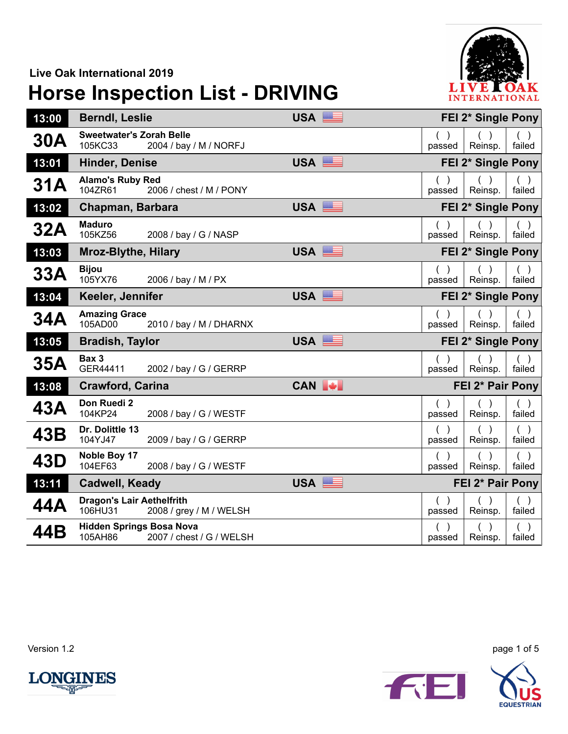## **Live Oak International 2019**

## **Horse Inspection List - DRIVING**



| 13:00 | <b>Berndl, Leslie</b>                       |                          | USA <sup>E</sup>  |        | FEI 2* Single Pony |                    |                 |  |
|-------|---------------------------------------------|--------------------------|-------------------|--------|--------------------|--------------------|-----------------|--|
| 30A   | <b>Sweetwater's Zorah Belle</b><br>105KC33  | 2004 / bay / M / NORFJ   |                   | passed |                    | Reinsp.            | $($ )<br>failed |  |
| 13:01 | <b>Hinder, Denise</b>                       |                          | USA <sup>ER</sup> |        | FEI 2* Single Pony |                    |                 |  |
| 31A   | <b>Alamo's Ruby Red</b><br>104ZR61          | 2006 / chest / M / PONY  |                   | passed |                    | Reinsp.            | failed          |  |
| 13:02 | Chapman, Barbara                            |                          | USA               |        | FEI 2* Single Pony |                    |                 |  |
| 32A   | <b>Maduro</b><br>105KZ56                    | 2008 / bay / G / NASP    |                   | passed |                    | Reinsp.            | ( )<br>failed   |  |
| 13:03 | <b>Mroz-Blythe, Hilary</b>                  |                          | USA               |        | FEI 2* Single Pony |                    |                 |  |
| 33A   | <b>Bijou</b><br>105YX76                     | 2006 / bay / M / PX      |                   | passed |                    | Reinsp.            | $($ )<br>failed |  |
| 13:04 | Keeler, Jennifer                            |                          | USA <b>BEE</b>    |        |                    | FEI 2* Single Pony |                 |  |
| 34A   | <b>Amazing Grace</b><br>105AD00             | 2010 / bay / M / DHARNX  |                   | passed |                    | Reinsp.            | failed          |  |
| 13:05 | <b>Bradish, Taylor</b>                      |                          | USA               |        |                    | FEI 2* Single Pony |                 |  |
| 35A   | Bax 3<br>GER44411                           | 2002 / bay / G / GERRP   |                   | passed |                    | Reinsp.            | ( )<br>failed   |  |
| 13:08 | <b>Crawford, Carina</b>                     |                          | CAN +             |        |                    | FEI 2* Pair Pony   |                 |  |
| 43A   | Don Ruedi 2<br>104KP24                      | 2008 / bay / G / WESTF   |                   | passed |                    | Reinsp.            | failed          |  |
| 43B   | Dr. Dolittle 13<br>104YJ47                  | 2009 / bay / G / GERRP   |                   | passed |                    | Reinsp.            | ( )<br>failed   |  |
| 43D   | Noble Boy 17<br>104EF63                     | 2008 / bay / G / WESTF   |                   | passed |                    | Reinsp.            | $($ )<br>failed |  |
| 13:11 | <b>Cadwell, Keady</b>                       |                          | USA               |        |                    | FEI 2* Pair Pony   |                 |  |
| 44A   | <b>Dragon's Lair Aethelfrith</b><br>106HU31 | 2008 / grey / M / WELSH  |                   | passed |                    | Reinsp.            | failed          |  |
| 44B   | <b>Hidden Springs Bosa Nova</b><br>105AH86  | 2007 / chest / G / WELSH |                   | passed |                    | Reinsp.            | ( )<br>failed   |  |

Version 1.2 page 1 of 5



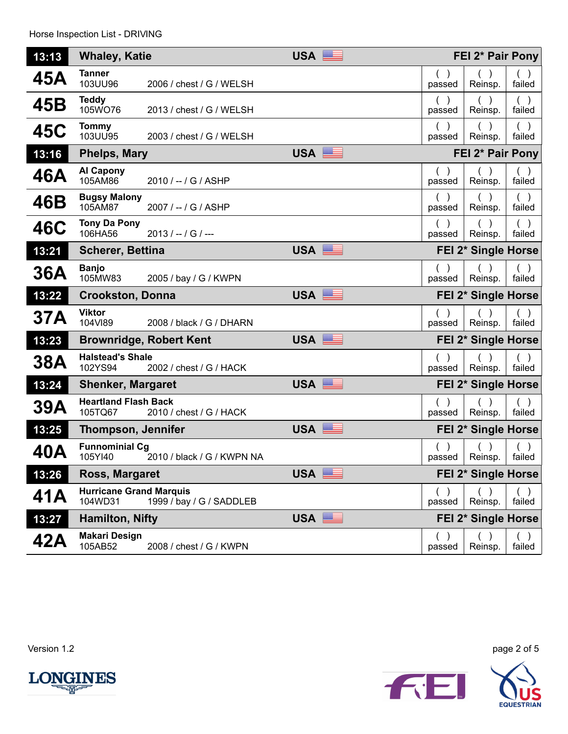| 13:13      | <b>Whaley, Katie</b>                      |                                | <b>USA</b>                 | FEI 2* Pair Pony |                     |                         |  |
|------------|-------------------------------------------|--------------------------------|----------------------------|------------------|---------------------|-------------------------|--|
| 45A        | <b>Tanner</b><br>103UU96                  | 2006 / chest / G / WELSH       |                            | passed           | Reinsp.             | $($ )<br>failed         |  |
| 45B        | <b>Teddy</b><br>105WO76                   | 2013 / chest / G / WELSH       |                            | ( )<br>passed    | (<br>Reinsp.        | ( )<br>failed           |  |
| 45C        | <b>Tommy</b><br>103UU95                   | 2003 / chest / G / WELSH       |                            | passed           | Reinsp.             | failed                  |  |
| 13:16      | <b>Phelps, Mary</b>                       |                                | USA                        |                  | FEI 2* Pair Pony    |                         |  |
| 46A        | <b>Al Capony</b><br>105AM86               | 2010 / -- / G / ASHP           |                            | $($ )<br>passed  | Reinsp.             | $($ )<br>failed         |  |
| 46B        | <b>Bugsy Malony</b><br>105AM87            | 2007 / -- / G / ASHP           |                            | passed           | Reinsp.             | failed                  |  |
| 46C        | <b>Tony Da Pony</b><br>106HA56            | $2013 / - / G$ /--             |                            | passed           | Reinsp.             | $($ )<br>failed         |  |
| 13:21      | <b>Scherer, Bettina</b>                   |                                | USA                        |                  | FEI 2* Single Horse |                         |  |
| 36A        | <b>Banjo</b><br>105MW83                   | 2005 / bay / G / KWPN          |                            | passed           | Reinsp.             | $\rightarrow$<br>failed |  |
| 13:22      | <b>Crookston, Donna</b>                   |                                | <b>USA</b><br><u> Bill</u> |                  | FEI 2* Single Horse |                         |  |
| 37A        | <b>Viktor</b><br>104VI89                  | 2008 / black / G / DHARN       |                            | passed           | Reinsp.             | failed                  |  |
| 13:23      |                                           | <b>Brownridge, Robert Kent</b> | USA                        |                  | FEI 2* Single Horse |                         |  |
| <b>38A</b> | <b>Halstead's Shale</b><br>102YS94        | 2002 / chest / G / HACK        |                            | passed           | Reinsp.             | failed                  |  |
| 13:24      | <b>Shenker, Margaret</b>                  |                                | USA                        |                  | FEI 2* Single Horse |                         |  |
| 39A        | <b>Heartland Flash Back</b><br>105TQ67    | 2010 / chest / G / HACK        |                            | passed           | Reinsp.             | failed                  |  |
| 13:25      | <b>Thompson, Jennifer</b>                 |                                | USA                        |                  | FEI 2* Single Horse |                         |  |
| 40A        | <b>Funnominial Cg</b><br>105YI40          | 2010 / black / G / KWPN NA     |                            | passed           | Reinsp.             | failed                  |  |
| 13:26      | Ross, Margaret                            |                                | USA                        |                  | FEI 2* Single Horse |                         |  |
| 41A        | <b>Hurricane Grand Marquis</b><br>104WD31 | 1999 / bay / G / SADDLEB       |                            | passed           | Reinsp.             | failed                  |  |
| 13:27      | <b>Hamilton, Nifty</b>                    |                                | USA                        |                  | FEI 2* Single Horse |                         |  |
| 42A        | <b>Makari Design</b><br>105AB52           | 2008 / chest / G / KWPN        |                            | passed           | Reinsp.             | failed                  |  |



Version 1.2 page 2 of 5

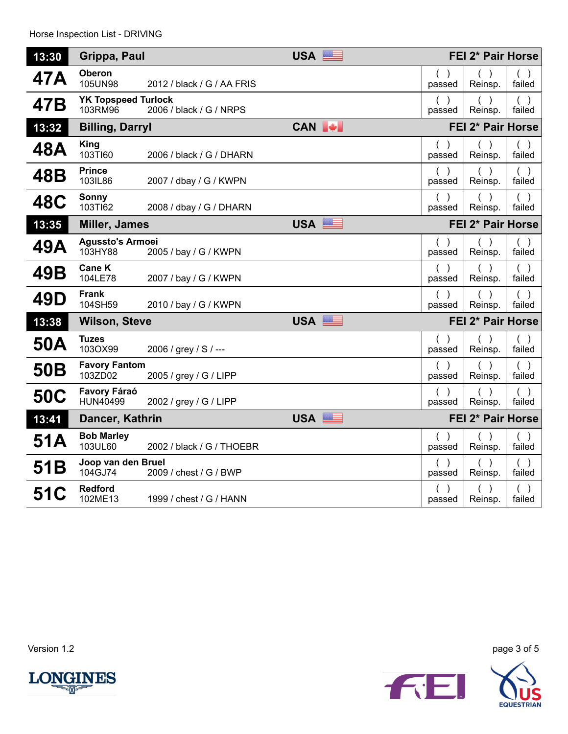| 13:30           | Grippa, Paul                          |                            | USA   | FEI 2* Pair Horse   |                   |                         |
|-----------------|---------------------------------------|----------------------------|-------|---------------------|-------------------|-------------------------|
| 47 A            | <b>Oberon</b><br>105UN98              | 2012 / black / G / AA FRIS |       | $\left($<br>passed  | Reinsp.           | failed                  |
| 47B             | <b>YK Topspeed Turlock</b><br>103RM96 | 2006 / black / G / NRPS    |       | $\lambda$<br>passed | Reinsp.           | ( )<br>failed           |
| 13:32           | <b>Billing, Darryl</b>                |                            | CAN + |                     | FEI 2* Pair Horse |                         |
| 48A             | <b>King</b><br>103TI60                | 2006 / black / G / DHARN   |       | $($ )<br>passed     | Reinsp.           | ( )<br>failed           |
| 48B             | <b>Prince</b><br>103IL86              | 2007 / dbay / G / KWPN     |       | passed              | Reinsp.           | failed                  |
| <b>48C</b>      | Sonny<br>103TI62                      | 2008 / dbay / G / DHARN    |       | $\lambda$<br>passed | $($ )<br>Reinsp.  | $($ )<br>failed         |
| 13:35           | <b>Miller, James</b>                  |                            | USA   |                     | FEI 2* Pair Horse |                         |
| 49A             | <b>Agussto's Armoei</b><br>103HY88    | 2005 / bay / G / KWPN      |       | $($ )<br>passed     | $($ )<br>Reinsp.  | ( )<br>failed           |
| 49B             | <b>Cane K</b><br>104LE78              | 2007 / bay / G / KWPN      |       | passed              | Reinsp.           | $\rightarrow$<br>failed |
| 49D             | <b>Frank</b><br>104SH59               | 2010 / bay / G / KWPN      |       | passed              | Reinsp.           | failed                  |
| 13:38           | <b>Wilson, Steve</b>                  |                            | USA   |                     | FEI 2* Pair Horse |                         |
| 50A             | <b>Tuzes</b><br>103OX99               | 2006 / grey / S / ---      |       | ( )<br>passed       | ( )<br>Reinsp.    | ( )<br>failed           |
| 50 <sub>B</sub> | <b>Favory Fantom</b><br>103ZD02       | 2005 / grey / G / LIPP     |       | ( )<br>passed       | $($ )<br>Reinsp.  | ( )<br>failed           |
| <b>50C</b>      | Favory Fáraó<br>HUN40499              | 2002 / grey / G / LIPP     |       | passed              | Reinsp.           | $($ )<br>failed         |
| 13:41           | Dancer, Kathrin                       |                            | USA   |                     | FEI 2* Pair Horse |                         |
| 51A             | <b>Bob Marley</b><br>103UL60          | 2002 / black / G / THOEBR  |       | $($ )<br>passed     | Reinsp.           | $($ )<br>failed         |
| 51B             | Joop van den Bruel<br>104GJ74         | 2009 / chest / G / BWP     |       | ( )<br>passed       | ( )<br>Reinsp.    | ( )<br>failed           |
| <b>51C</b>      | <b>Redford</b><br>102ME13             | 1999 / chest / G / HANN    |       | passed              | Reinsp.           | ( )<br>failed           |

Version 1.2 page 3 of 5



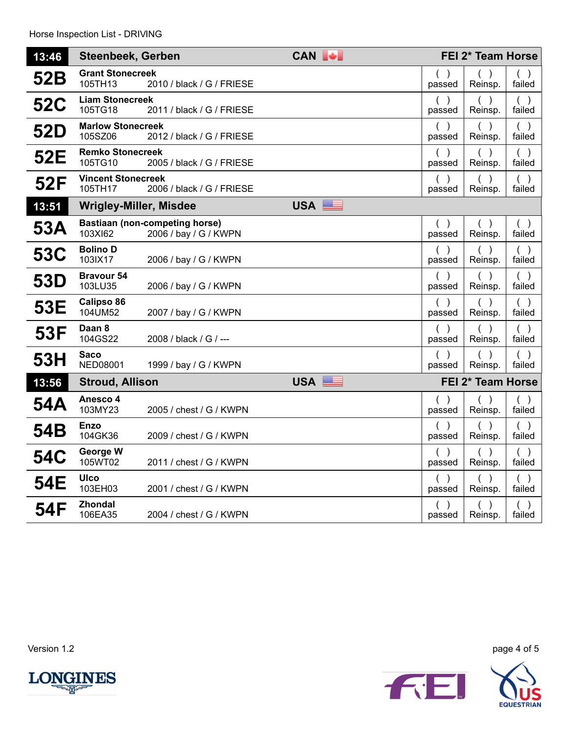| 13:46      | <b>Steenbeek, Gerben</b>             |                                                                | CAN + |                     | FEI 2* Team Horse |                         |
|------------|--------------------------------------|----------------------------------------------------------------|-------|---------------------|-------------------|-------------------------|
| 52B        | <b>Grant Stonecreek</b><br>105TH13   | 2010 / black / G / FRIESE                                      |       | passed              | Reinsp.           | failed                  |
| <b>52C</b> | <b>Liam Stonecreek</b><br>105TG18    | 2011 / black / G / FRIESE                                      |       | $($ )<br>passed     | $($ )<br>Reinsp.  | ( )<br>failed           |
| 52D        | <b>Marlow Stonecreek</b><br>105SZ06  | 2012 / black / G / FRIESE                                      |       | $\lambda$<br>passed | Reinsp.           | $($ )<br>failed         |
| 52E        | <b>Remko Stonecreek</b><br>105TG10   | 2005 / black / G / FRIESE                                      |       | ( )<br>passed       | Reinsp.           | ( )<br>failed           |
| 52F        | <b>Vincent Stonecreek</b><br>105TH17 | 2006 / black / G / FRIESE                                      |       | ( )<br>passed       | $($ )<br>Reinsp.  | ( )<br>failed           |
| 13:51      | <b>Wrigley-Miller, Misdee</b>        |                                                                | USA   |                     |                   |                         |
| 53A        | 103XI62                              | <b>Bastiaan (non-competing horse)</b><br>2006 / bay / G / KWPN |       | ( )<br>passed       | ( )<br>Reinsp.    | ( )<br>failed           |
| <b>53C</b> | <b>Bolino D</b><br>103IX17           | 2006 / bay / G / KWPN                                          |       | passed              | Reinsp.           | $($ )<br>failed         |
| 53D        | <b>Bravour 54</b><br>103LU35         | 2006 / bay / G / KWPN                                          |       | passed              | Reinsp.           | $($ )<br>failed         |
| 53E        | Calipso 86<br>104UM52                | 2007 / bay / G / KWPN                                          |       | passed              | Reinsp.           | ( )<br>failed           |
| 53F        | Daan 8<br>104GS22                    | 2008 / black / G / ---                                         |       | $($ )<br>passed     | $($ )<br>Reinsp.  | $($ )<br>failed         |
| 53H        | Saco<br><b>NED08001</b>              | 1999 / bay / G / KWPN                                          |       | $\lambda$<br>passed | Reinsp.           | ( )<br>failed           |
| 13:56      | <b>Stroud, Allison</b>               |                                                                | USA   |                     | FEI 2* Team Horse |                         |
| 54A        | Anesco 4<br>103MY23                  | 2005 / chest / G / KWPN                                        |       | ( )<br>passed       | Reinsp.           | ( )<br>failed           |
| 54B        | Enzo<br>104GK36                      | 2009 / chest / G / KWPN                                        |       | ( )<br>passed       | $($ )<br>Reinsp.  | ( )<br>failed           |
| <b>54C</b> | George W<br>105WT02                  | 2011 / chest / G / KWPN                                        |       | ( )<br>passed       | ( )<br>Reinsp.    | ( )<br>failed           |
| 54E        | <b>UIco</b><br>103EH03               | 2001 / chest / G / KWPN                                        |       | passed              | Reinsp.           | $\rightarrow$<br>failed |
| 54F        | Zhondal<br>106EA35                   | 2004 / chest / G / KWPN                                        |       | passed              | Reinsp.           | failed                  |



Version 1.2 page 4 of 5